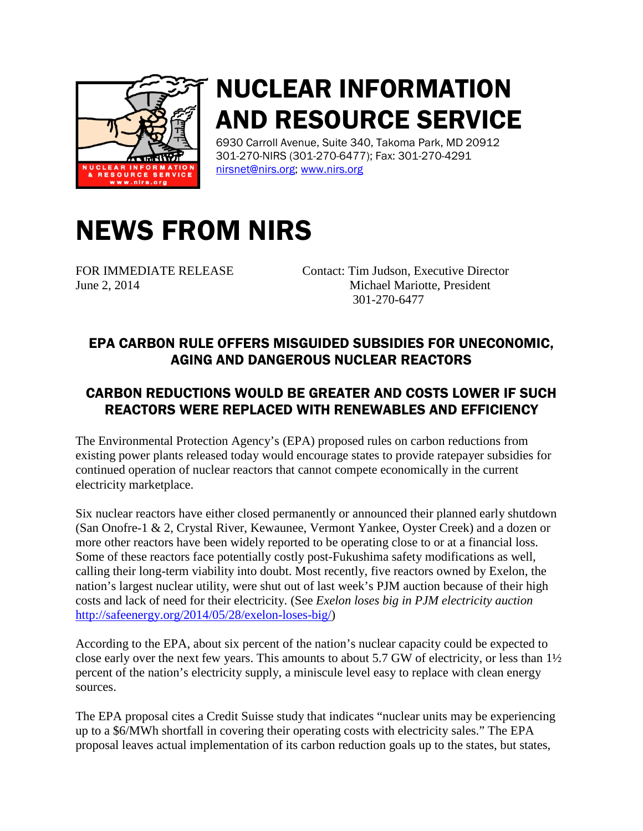

## NUCLEAR INFORMATION AND RESOURCE SERVICE

6930 Carroll Avenue, Suite 340, Takoma Park, MD 20912 301-270-NIRS (301-270-6477); Fax: 301-270-4291 [nirsnet@nirs.org;](mailto:nirsnet@nirs.org) [www.nirs.org](http://www.nirs.org/)

## NEWS FROM NIRS

FOR IMMEDIATE RELEASE Contact: Tim Judson, Executive Director June 2, 2014 Michael Mariotte, President 301-270-6477

## EPA CARBON RULE OFFERS MISGUIDED SUBSIDIES FOR UNECONOMIC, AGING AND DANGEROUS NUCLEAR REACTORS

## CARBON REDUCTIONS WOULD BE GREATER AND COSTS LOWER IF SUCH REACTORS WERE REPLACED WITH RENEWABLES AND EFFICIENCY

The Environmental Protection Agency's (EPA) proposed rules on carbon reductions from existing power plants released today would encourage states to provide ratepayer subsidies for continued operation of nuclear reactors that cannot compete economically in the current electricity marketplace.

Six nuclear reactors have either closed permanently or announced their planned early shutdown (San Onofre-1 & 2, Crystal River, Kewaunee, Vermont Yankee, Oyster Creek) and a dozen or more other reactors have been widely reported to be operating close to or at a financial loss. Some of these reactors face potentially costly post-Fukushima safety modifications as well, calling their long-term viability into doubt. Most recently, five reactors owned by Exelon, the nation's largest nuclear utility, were shut out of last week's PJM auction because of their high costs and lack of need for their electricity. (See *Exelon loses big in PJM electricity auction* [http://safeenergy.org/2014/05/28/exelon-loses-big/\)](http://safeenergy.org/2014/05/28/exelon-loses-big/)

According to the EPA, about six percent of the nation's nuclear capacity could be expected to close early over the next few years. This amounts to about 5.7 GW of electricity, or less than 1½ percent of the nation's electricity supply, a miniscule level easy to replace with clean energy sources.

The EPA proposal cites a Credit Suisse study that indicates "nuclear units may be experiencing up to a \$6/MWh shortfall in covering their operating costs with electricity sales." The EPA proposal leaves actual implementation of its carbon reduction goals up to the states, but states,